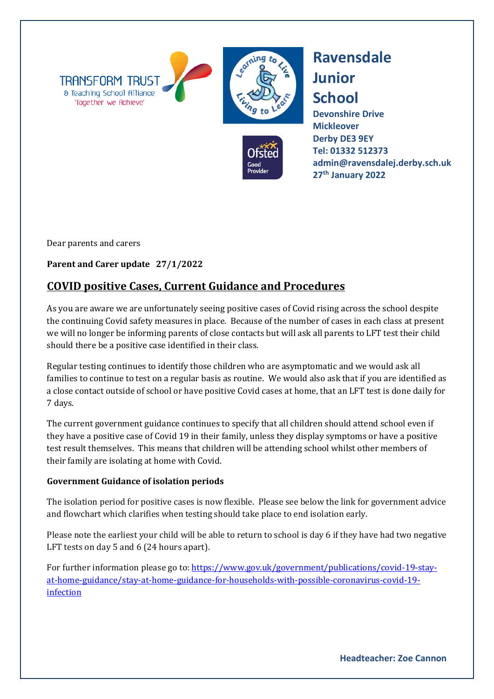



**Ravensdale Junior School**

**Devonshire Drive Mickleover Derby DE3 9EY [Tel: 01332](tel:01332) 512373 admin@ravensdalej.derby.sch.uk 27th January 2022**

Dear parents and carers

## **Parent and Carer update 27/1/2022**

## **COVID positive Cases, Current Guidance and Procedures**

As you are aware we are unfortunately seeing positive cases of Covid rising across the school despite the continuing Covid safety measures in place. Because of the number of cases in each class at present we will no longer be informing parents of close contacts but will ask all parents to LFT test their child should there be a positive case identified in their class.

Regular testing continues to identify those children who are asymptomatic and we would ask all families to continue to test on a regular basis as routine. We would also ask that if you are identified as a close contact outside of school or have positive Covid cases at home, that an LFT test is done daily for 7 days.

The current government guidance continues to specify that all children should attend school even if they have a positive case of Covid 19 in their family, unless they display symptoms or have a positive test result themselves. This means that children will be attending school whilst other members of their family are isolating at home with Covid.

## **Government Guidance of isolation periods**

The isolation period for positive cases is now flexible. Please see below the link for government advice and flowchart which clarifies when testing should take place to end isolation early.

Please note the earliest your child will be able to return to school is day 6 if they have had two negative LFT tests on day 5 and 6 (24 hours apart).

For further information please go to: [https://www.gov.uk/government/publications/covid-19-stay](https://www.gov.uk/government/publications/covid-19-stay-at-home-guidance/stay-at-home-guidance-for-households-with-possible-coronavirus-covid-19-infection)[at-home-guidance/stay-at-home-guidance-for-households-with-possible-coronavirus-covid-19](https://www.gov.uk/government/publications/covid-19-stay-at-home-guidance/stay-at-home-guidance-for-households-with-possible-coronavirus-covid-19-infection) [infection](https://www.gov.uk/government/publications/covid-19-stay-at-home-guidance/stay-at-home-guidance-for-households-with-possible-coronavirus-covid-19-infection)

**Headteacher: Zoe Cannon**